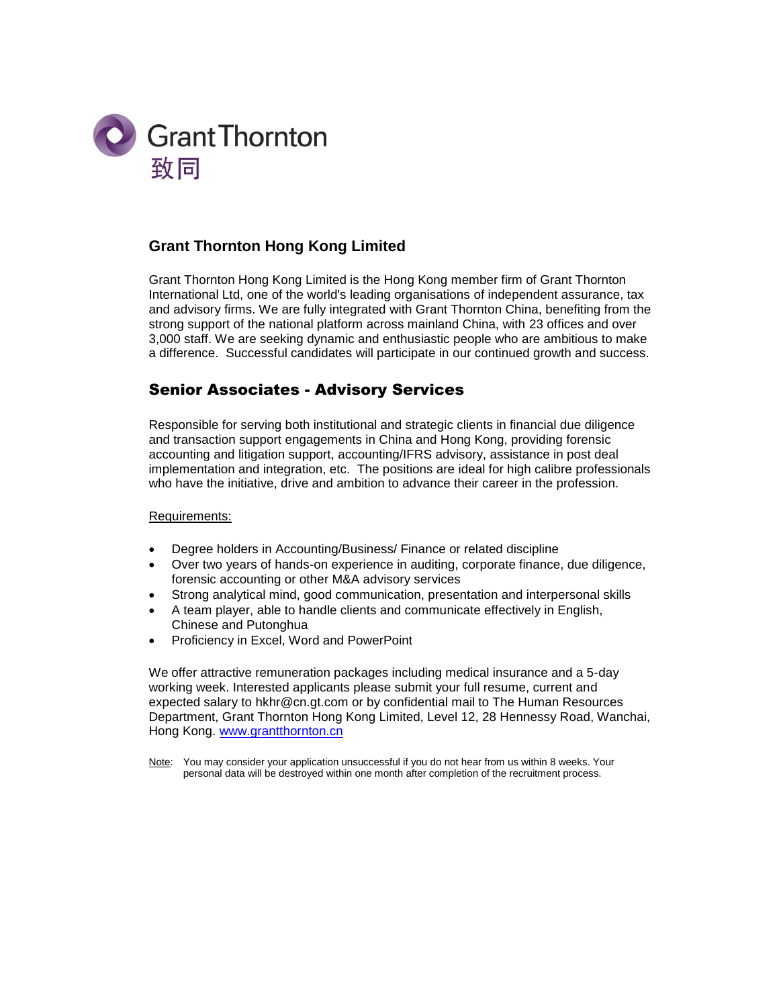

# **Grant Thornton Hong Kong Limited**

Grant Thornton Hong Kong Limited is the Hong Kong member firm of Grant Thornton International Ltd, one of the world's leading organisations of independent assurance, tax and advisory firms. We are fully integrated with Grant Thornton China, benefiting from the strong support of the national platform across mainland China, with 23 offices and over 3,000 staff. We are seeking dynamic and enthusiastic people who are ambitious to make a difference. Successful candidates will participate in our continued growth and success.

## Senior Associates - Advisory Services

Responsible for serving both institutional and strategic clients in financial due diligence and transaction support engagements in China and Hong Kong, providing forensic accounting and litigation support, accounting/IFRS advisory, assistance in post deal implementation and integration, etc. The positions are ideal for high calibre professionals who have the initiative, drive and ambition to advance their career in the profession.

#### Requirements:

- Degree holders in Accounting/Business/ Finance or related discipline
- Over two years of hands-on experience in auditing, corporate finance, due diligence, forensic accounting or other M&A advisory services
- Strong analytical mind, good communication, presentation and interpersonal skills
- A team player, able to handle clients and communicate effectively in English, Chinese and Putonghua
- Proficiency in Excel, Word and PowerPoint

We offer attractive remuneration packages including medical insurance and a 5-day working week. Interested applicants please submit your full resume, current and expected salary to hkhr@cn.gt.com or by confidential mail to The Human Resources Department, Grant Thornton Hong Kong Limited, Level 12, 28 Hennessy Road, Wanchai, Hong Kong. [www.grantthornton.cn](javascript:void(0))

Note: You may consider your application unsuccessful if you do not hear from us within 8 weeks. Your personal data will be destroyed within one month after completion of the recruitment process.